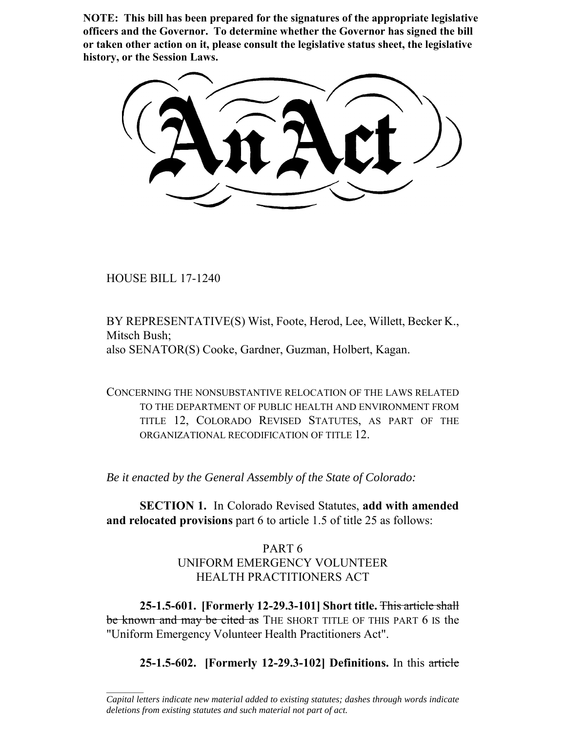**NOTE: This bill has been prepared for the signatures of the appropriate legislative officers and the Governor. To determine whether the Governor has signed the bill or taken other action on it, please consult the legislative status sheet, the legislative history, or the Session Laws.**

HOUSE BILL 17-1240

 $\frac{1}{2}$ 

BY REPRESENTATIVE(S) Wist, Foote, Herod, Lee, Willett, Becker K., Mitsch Bush; also SENATOR(S) Cooke, Gardner, Guzman, Holbert, Kagan.

CONCERNING THE NONSUBSTANTIVE RELOCATION OF THE LAWS RELATED TO THE DEPARTMENT OF PUBLIC HEALTH AND ENVIRONMENT FROM TITLE 12, COLORADO REVISED STATUTES, AS PART OF THE ORGANIZATIONAL RECODIFICATION OF TITLE 12.

*Be it enacted by the General Assembly of the State of Colorado:*

**SECTION 1.** In Colorado Revised Statutes, **add with amended and relocated provisions** part 6 to article 1.5 of title 25 as follows:

# PART 6 UNIFORM EMERGENCY VOLUNTEER HEALTH PRACTITIONERS ACT

**25-1.5-601. [Formerly 12-29.3-101] Short title.** This article shall be known and may be cited as THE SHORT TITLE OF THIS PART 6 IS the "Uniform Emergency Volunteer Health Practitioners Act".

**25-1.5-602. [Formerly 12-29.3-102] Definitions.** In this article

*Capital letters indicate new material added to existing statutes; dashes through words indicate deletions from existing statutes and such material not part of act.*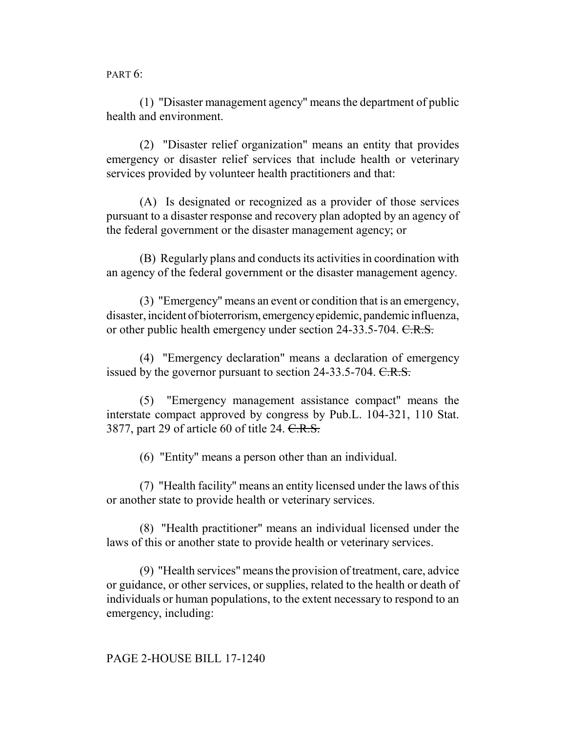PART 6:

(1) "Disaster management agency" means the department of public health and environment.

(2) "Disaster relief organization" means an entity that provides emergency or disaster relief services that include health or veterinary services provided by volunteer health practitioners and that:

(A) Is designated or recognized as a provider of those services pursuant to a disaster response and recovery plan adopted by an agency of the federal government or the disaster management agency; or

(B) Regularly plans and conducts its activities in coordination with an agency of the federal government or the disaster management agency.

(3) "Emergency" means an event or condition that is an emergency, disaster, incident of bioterrorism, emergency epidemic, pandemic influenza, or other public health emergency under section 24-33.5-704. C.R.S.

(4) "Emergency declaration" means a declaration of emergency issued by the governor pursuant to section 24-33.5-704. C.R.S.

(5) "Emergency management assistance compact" means the interstate compact approved by congress by Pub.L. 104-321, 110 Stat. 3877, part 29 of article 60 of title 24. C.R.S.

(6) "Entity" means a person other than an individual.

(7) "Health facility" means an entity licensed under the laws of this or another state to provide health or veterinary services.

(8) "Health practitioner" means an individual licensed under the laws of this or another state to provide health or veterinary services.

(9) "Health services" means the provision of treatment, care, advice or guidance, or other services, or supplies, related to the health or death of individuals or human populations, to the extent necessary to respond to an emergency, including: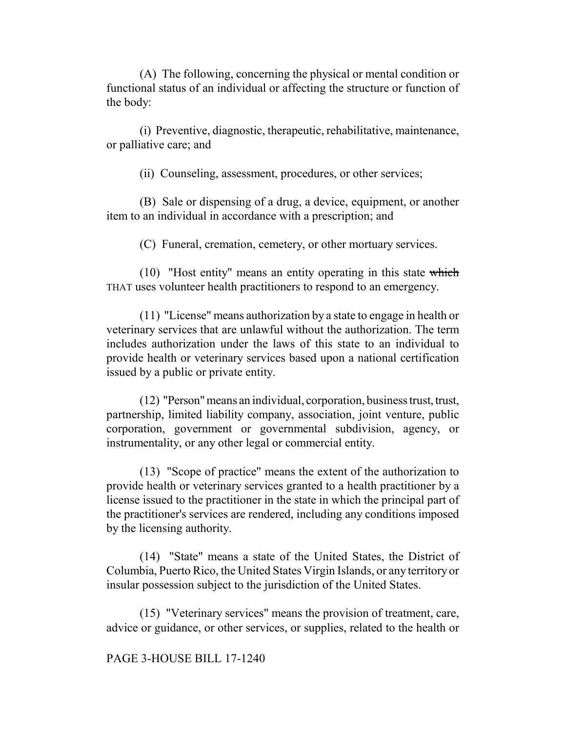(A) The following, concerning the physical or mental condition or functional status of an individual or affecting the structure or function of the body:

(i) Preventive, diagnostic, therapeutic, rehabilitative, maintenance, or palliative care; and

(ii) Counseling, assessment, procedures, or other services;

(B) Sale or dispensing of a drug, a device, equipment, or another item to an individual in accordance with a prescription; and

(C) Funeral, cremation, cemetery, or other mortuary services.

(10) "Host entity" means an entity operating in this state which THAT uses volunteer health practitioners to respond to an emergency.

(11) "License" means authorization by a state to engage in health or veterinary services that are unlawful without the authorization. The term includes authorization under the laws of this state to an individual to provide health or veterinary services based upon a national certification issued by a public or private entity.

(12) "Person" means an individual, corporation, business trust, trust, partnership, limited liability company, association, joint venture, public corporation, government or governmental subdivision, agency, or instrumentality, or any other legal or commercial entity.

(13) "Scope of practice" means the extent of the authorization to provide health or veterinary services granted to a health practitioner by a license issued to the practitioner in the state in which the principal part of the practitioner's services are rendered, including any conditions imposed by the licensing authority.

(14) "State" means a state of the United States, the District of Columbia, Puerto Rico, the United States Virgin Islands, or any territory or insular possession subject to the jurisdiction of the United States.

(15) "Veterinary services" means the provision of treatment, care, advice or guidance, or other services, or supplies, related to the health or

#### PAGE 3-HOUSE BILL 17-1240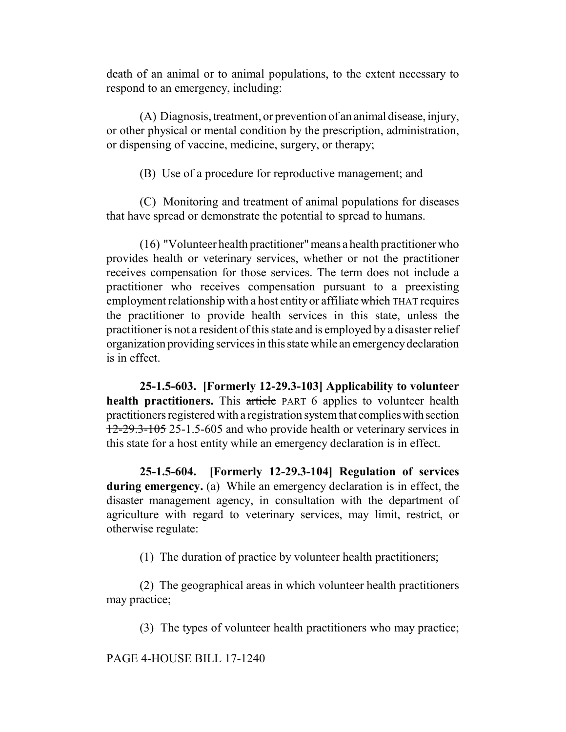death of an animal or to animal populations, to the extent necessary to respond to an emergency, including:

(A) Diagnosis, treatment, or prevention of an animal disease, injury, or other physical or mental condition by the prescription, administration, or dispensing of vaccine, medicine, surgery, or therapy;

(B) Use of a procedure for reproductive management; and

(C) Monitoring and treatment of animal populations for diseases that have spread or demonstrate the potential to spread to humans.

(16) "Volunteer health practitioner" means a health practitioner who provides health or veterinary services, whether or not the practitioner receives compensation for those services. The term does not include a practitioner who receives compensation pursuant to a preexisting employment relationship with a host entity or affiliate which THAT requires the practitioner to provide health services in this state, unless the practitioner is not a resident of this state and is employed by a disaster relief organization providing services in this state while an emergency declaration is in effect.

**25-1.5-603. [Formerly 12-29.3-103] Applicability to volunteer health practitioners.** This article PART 6 applies to volunteer health practitioners registered with a registration system that complies with section 12-29.3-105 25-1.5-605 and who provide health or veterinary services in this state for a host entity while an emergency declaration is in effect.

**25-1.5-604. [Formerly 12-29.3-104] Regulation of services during emergency.** (a) While an emergency declaration is in effect, the disaster management agency, in consultation with the department of agriculture with regard to veterinary services, may limit, restrict, or otherwise regulate:

(1) The duration of practice by volunteer health practitioners;

(2) The geographical areas in which volunteer health practitioners may practice;

(3) The types of volunteer health practitioners who may practice;

PAGE 4-HOUSE BILL 17-1240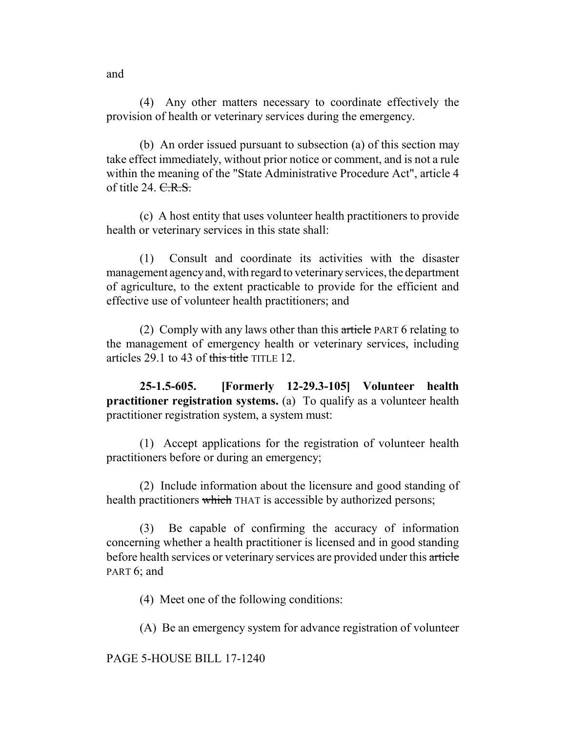(4) Any other matters necessary to coordinate effectively the provision of health or veterinary services during the emergency.

(b) An order issued pursuant to subsection (a) of this section may take effect immediately, without prior notice or comment, and is not a rule within the meaning of the "State Administrative Procedure Act", article 4 of title 24.  $C.R.S.$ 

(c) A host entity that uses volunteer health practitioners to provide health or veterinary services in this state shall:

(1) Consult and coordinate its activities with the disaster management agency and, with regard to veterinary services, the department of agriculture, to the extent practicable to provide for the efficient and effective use of volunteer health practitioners; and

(2) Comply with any laws other than this  $\frac{artrie}{}$  PART 6 relating to the management of emergency health or veterinary services, including articles 29.1 to 43 of this title TITLE 12.

**25-1.5-605. [Formerly 12-29.3-105] Volunteer health practitioner registration systems.** (a) To qualify as a volunteer health practitioner registration system, a system must:

(1) Accept applications for the registration of volunteer health practitioners before or during an emergency;

(2) Include information about the licensure and good standing of health practitioners which THAT is accessible by authorized persons;

(3) Be capable of confirming the accuracy of information concerning whether a health practitioner is licensed and in good standing before health services or veterinary services are provided under this article PART 6: and

(4) Meet one of the following conditions:

(A) Be an emergency system for advance registration of volunteer

PAGE 5-HOUSE BILL 17-1240

and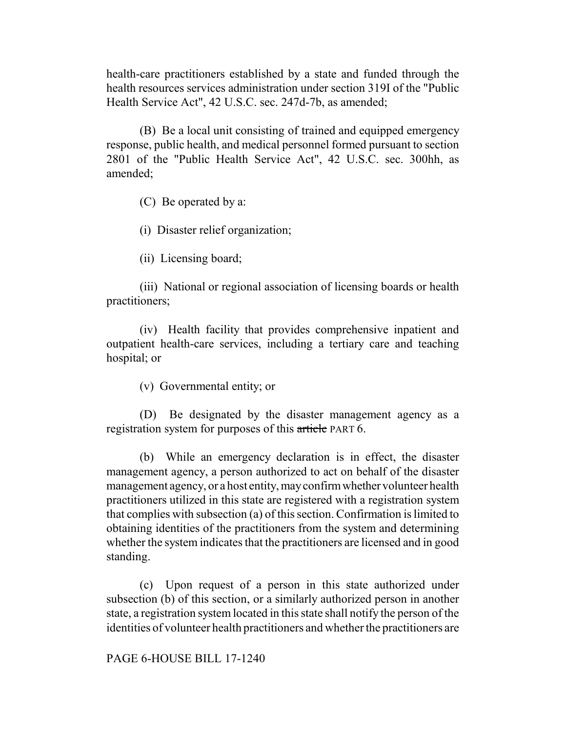health-care practitioners established by a state and funded through the health resources services administration under section 319I of the "Public Health Service Act", 42 U.S.C. sec. 247d-7b, as amended;

(B) Be a local unit consisting of trained and equipped emergency response, public health, and medical personnel formed pursuant to section 2801 of the "Public Health Service Act", 42 U.S.C. sec. 300hh, as amended;

(C) Be operated by a:

(i) Disaster relief organization;

(ii) Licensing board;

(iii) National or regional association of licensing boards or health practitioners;

(iv) Health facility that provides comprehensive inpatient and outpatient health-care services, including a tertiary care and teaching hospital; or

(v) Governmental entity; or

(D) Be designated by the disaster management agency as a registration system for purposes of this article PART 6.

(b) While an emergency declaration is in effect, the disaster management agency, a person authorized to act on behalf of the disaster management agency, or a host entity, may confirm whether volunteer health practitioners utilized in this state are registered with a registration system that complies with subsection (a) of this section. Confirmation is limited to obtaining identities of the practitioners from the system and determining whether the system indicates that the practitioners are licensed and in good standing.

(c) Upon request of a person in this state authorized under subsection (b) of this section, or a similarly authorized person in another state, a registration system located in this state shall notify the person of the identities of volunteer health practitioners and whether the practitioners are

PAGE 6-HOUSE BILL 17-1240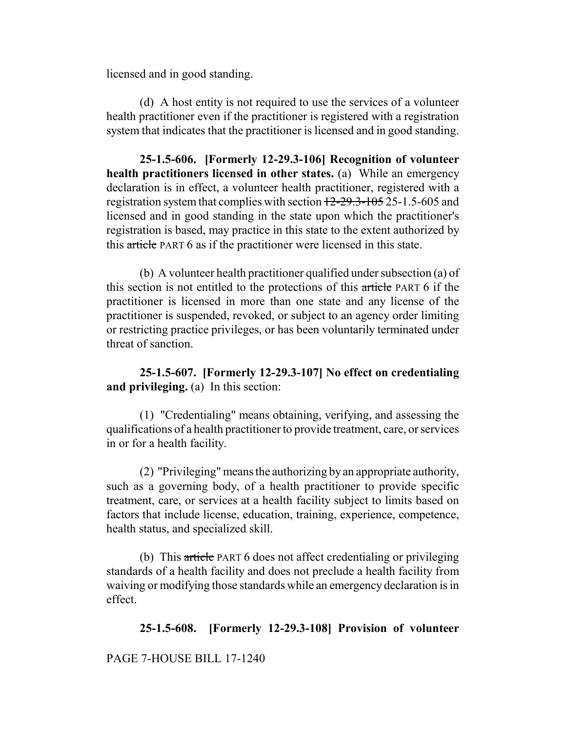licensed and in good standing.

(d) A host entity is not required to use the services of a volunteer health practitioner even if the practitioner is registered with a registration system that indicates that the practitioner is licensed and in good standing.

**25-1.5-606. [Formerly 12-29.3-106] Recognition of volunteer health practitioners licensed in other states.** (a) While an emergency declaration is in effect, a volunteer health practitioner, registered with a registration system that complies with section 12-29.3-105 25-1.5-605 and licensed and in good standing in the state upon which the practitioner's registration is based, may practice in this state to the extent authorized by this article PART 6 as if the practitioner were licensed in this state.

(b) A volunteer health practitioner qualified under subsection (a) of this section is not entitled to the protections of this article PART 6 if the practitioner is licensed in more than one state and any license of the practitioner is suspended, revoked, or subject to an agency order limiting or restricting practice privileges, or has been voluntarily terminated under threat of sanction.

**25-1.5-607. [Formerly 12-29.3-107] No effect on credentialing and privileging.** (a) In this section:

(1) "Credentialing" means obtaining, verifying, and assessing the qualifications of a health practitioner to provide treatment, care, or services in or for a health facility.

(2) "Privileging" means the authorizing by an appropriate authority, such as a governing body, of a health practitioner to provide specific treatment, care, or services at a health facility subject to limits based on factors that include license, education, training, experience, competence, health status, and specialized skill.

(b) This article PART 6 does not affect credentialing or privileging standards of a health facility and does not preclude a health facility from waiving or modifying those standards while an emergency declaration is in effect.

## **25-1.5-608. [Formerly 12-29.3-108] Provision of volunteer**

### PAGE 7-HOUSE BILL 17-1240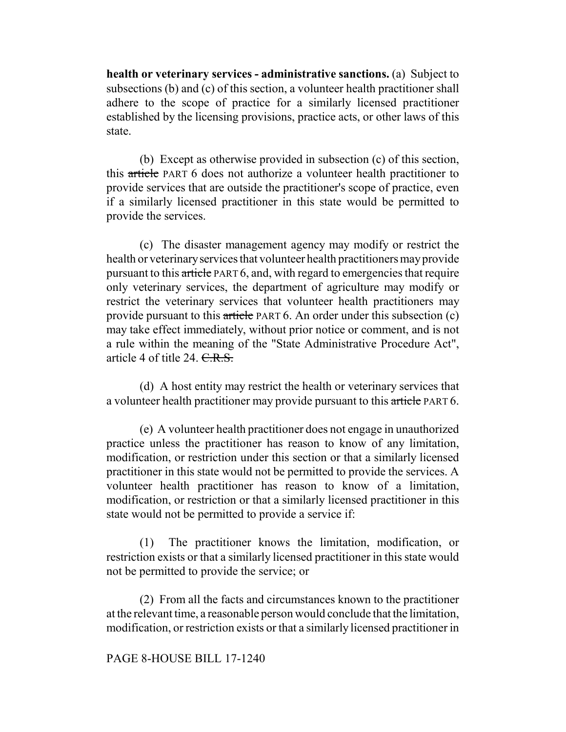**health or veterinary services - administrative sanctions.** (a) Subject to subsections (b) and (c) of this section, a volunteer health practitioner shall adhere to the scope of practice for a similarly licensed practitioner established by the licensing provisions, practice acts, or other laws of this state.

(b) Except as otherwise provided in subsection (c) of this section, this article PART 6 does not authorize a volunteer health practitioner to provide services that are outside the practitioner's scope of practice, even if a similarly licensed practitioner in this state would be permitted to provide the services.

(c) The disaster management agency may modify or restrict the health or veterinary services that volunteer health practitioners may provide pursuant to this article PART 6, and, with regard to emergencies that require only veterinary services, the department of agriculture may modify or restrict the veterinary services that volunteer health practitioners may provide pursuant to this article PART 6. An order under this subsection (c) may take effect immediately, without prior notice or comment, and is not a rule within the meaning of the "State Administrative Procedure Act", article 4 of title 24. C.R.S.

(d) A host entity may restrict the health or veterinary services that a volunteer health practitioner may provide pursuant to this article PART 6.

(e) A volunteer health practitioner does not engage in unauthorized practice unless the practitioner has reason to know of any limitation, modification, or restriction under this section or that a similarly licensed practitioner in this state would not be permitted to provide the services. A volunteer health practitioner has reason to know of a limitation, modification, or restriction or that a similarly licensed practitioner in this state would not be permitted to provide a service if:

(1) The practitioner knows the limitation, modification, or restriction exists or that a similarly licensed practitioner in this state would not be permitted to provide the service; or

(2) From all the facts and circumstances known to the practitioner at the relevant time, a reasonable person would conclude that the limitation, modification, or restriction exists or that a similarly licensed practitioner in

### PAGE 8-HOUSE BILL 17-1240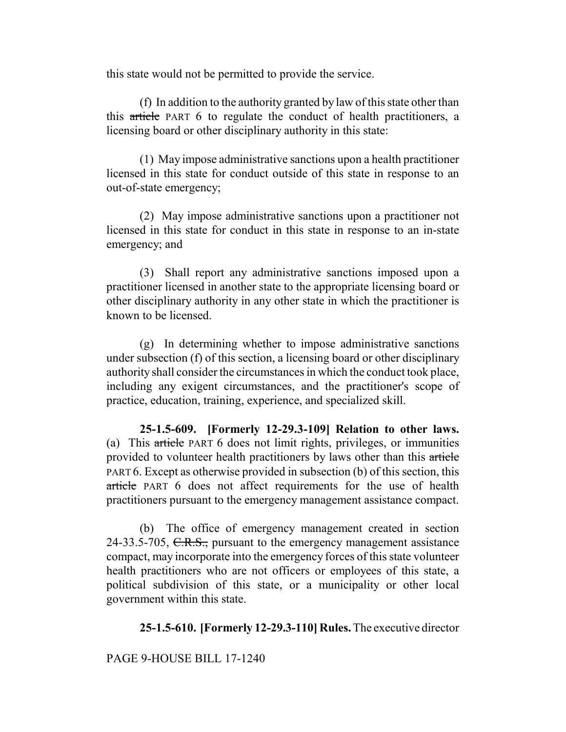this state would not be permitted to provide the service.

(f) In addition to the authority granted by law of this state other than this article PART 6 to regulate the conduct of health practitioners, a licensing board or other disciplinary authority in this state:

(1) May impose administrative sanctions upon a health practitioner licensed in this state for conduct outside of this state in response to an out-of-state emergency;

(2) May impose administrative sanctions upon a practitioner not licensed in this state for conduct in this state in response to an in-state emergency; and

(3) Shall report any administrative sanctions imposed upon a practitioner licensed in another state to the appropriate licensing board or other disciplinary authority in any other state in which the practitioner is known to be licensed.

(g) In determining whether to impose administrative sanctions under subsection (f) of this section, a licensing board or other disciplinary authority shall consider the circumstances in which the conduct took place, including any exigent circumstances, and the practitioner's scope of practice, education, training, experience, and specialized skill.

**25-1.5-609. [Formerly 12-29.3-109] Relation to other laws.** (a) This article PART 6 does not limit rights, privileges, or immunities provided to volunteer health practitioners by laws other than this article PART 6. Except as otherwise provided in subsection (b) of this section, this article PART 6 does not affect requirements for the use of health practitioners pursuant to the emergency management assistance compact.

(b) The office of emergency management created in section 24-33.5-705, C.R.S., pursuant to the emergency management assistance compact, may incorporate into the emergency forces of this state volunteer health practitioners who are not officers or employees of this state, a political subdivision of this state, or a municipality or other local government within this state.

**25-1.5-610. [Formerly 12-29.3-110] Rules.** The executive director

## PAGE 9-HOUSE BILL 17-1240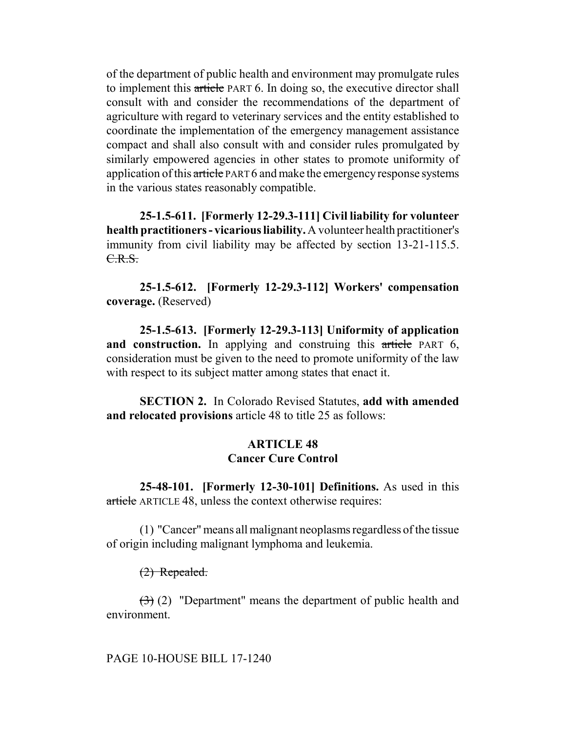of the department of public health and environment may promulgate rules to implement this article PART 6. In doing so, the executive director shall consult with and consider the recommendations of the department of agriculture with regard to veterinary services and the entity established to coordinate the implementation of the emergency management assistance compact and shall also consult with and consider rules promulgated by similarly empowered agencies in other states to promote uniformity of application of this article PART 6 and make the emergency response systems in the various states reasonably compatible.

**25-1.5-611. [Formerly 12-29.3-111] Civil liability for volunteer health practitioners - vicarious liability.** A volunteer health practitioner's immunity from civil liability may be affected by section 13-21-115.5. C.R.S.

**25-1.5-612. [Formerly 12-29.3-112] Workers' compensation coverage.** (Reserved)

**25-1.5-613. [Formerly 12-29.3-113] Uniformity of application** and construction. In applying and construing this article PART 6, consideration must be given to the need to promote uniformity of the law with respect to its subject matter among states that enact it.

**SECTION 2.** In Colorado Revised Statutes, **add with amended and relocated provisions** article 48 to title 25 as follows:

### **ARTICLE 48 Cancer Cure Control**

**25-48-101. [Formerly 12-30-101] Definitions.** As used in this article ARTICLE 48, unless the context otherwise requires:

(1) "Cancer" means all malignant neoplasms regardless of the tissue of origin including malignant lymphoma and leukemia.

### (2) Repealed.

(3) (2) "Department" means the department of public health and environment.

#### PAGE 10-HOUSE BILL 17-1240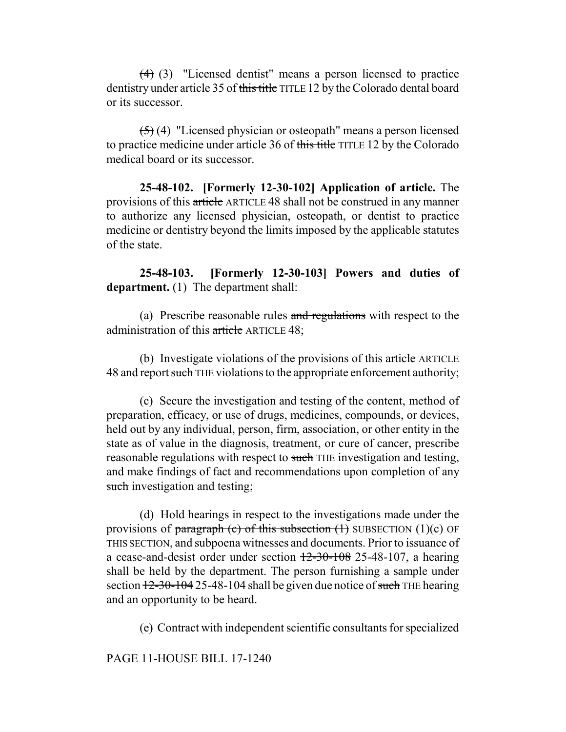(4) (3) "Licensed dentist" means a person licensed to practice dentistry under article 35 of this title TITLE 12 by the Colorado dental board or its successor.

(5) (4) "Licensed physician or osteopath" means a person licensed to practice medicine under article 36 of this title TITLE 12 by the Colorado medical board or its successor.

**25-48-102. [Formerly 12-30-102] Application of article.** The provisions of this article ARTICLE 48 shall not be construed in any manner to authorize any licensed physician, osteopath, or dentist to practice medicine or dentistry beyond the limits imposed by the applicable statutes of the state.

**25-48-103. [Formerly 12-30-103] Powers and duties of department.** (1) The department shall:

(a) Prescribe reasonable rules and regulations with respect to the administration of this article ARTICLE 48;

(b) Investigate violations of the provisions of this article ARTICLE 48 and report such THE violations to the appropriate enforcement authority;

(c) Secure the investigation and testing of the content, method of preparation, efficacy, or use of drugs, medicines, compounds, or devices, held out by any individual, person, firm, association, or other entity in the state as of value in the diagnosis, treatment, or cure of cancer, prescribe reasonable regulations with respect to such THE investigation and testing, and make findings of fact and recommendations upon completion of any such investigation and testing;

(d) Hold hearings in respect to the investigations made under the provisions of paragraph (c) of this subsection  $(1)$  SUBSECTION  $(1)(c)$  OF THIS SECTION, and subpoena witnesses and documents. Prior to issuance of a cease-and-desist order under section  $12-30-108$  25-48-107, a hearing shall be held by the department. The person furnishing a sample under section  $12-30-104$  25-48-104 shall be given due notice of such THE hearing and an opportunity to be heard.

(e) Contract with independent scientific consultants for specialized

### PAGE 11-HOUSE BILL 17-1240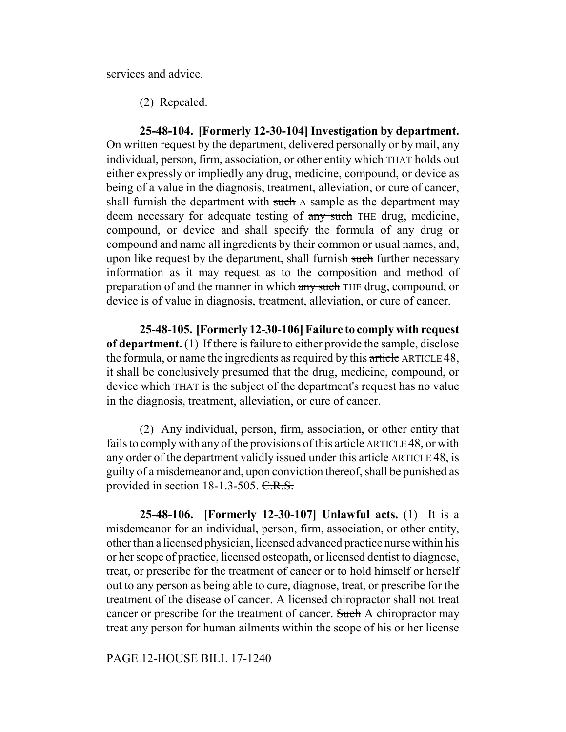services and advice.

(2) Repealed.

**25-48-104. [Formerly 12-30-104] Investigation by department.** On written request by the department, delivered personally or by mail, any individual, person, firm, association, or other entity which THAT holds out either expressly or impliedly any drug, medicine, compound, or device as being of a value in the diagnosis, treatment, alleviation, or cure of cancer, shall furnish the department with such A sample as the department may deem necessary for adequate testing of any such THE drug, medicine, compound, or device and shall specify the formula of any drug or compound and name all ingredients by their common or usual names, and, upon like request by the department, shall furnish such further necessary information as it may request as to the composition and method of preparation of and the manner in which any such THE drug, compound, or device is of value in diagnosis, treatment, alleviation, or cure of cancer.

**25-48-105. [Formerly 12-30-106] Failure to comply with request of department.** (1) If there is failure to either provide the sample, disclose the formula, or name the ingredients as required by this article ARTICLE 48, it shall be conclusively presumed that the drug, medicine, compound, or device which THAT is the subject of the department's request has no value in the diagnosis, treatment, alleviation, or cure of cancer.

(2) Any individual, person, firm, association, or other entity that fails to comply with any of the provisions of this article ARTICLE 48, or with any order of the department validly issued under this article ARTICLE 48, is guilty of a misdemeanor and, upon conviction thereof, shall be punished as provided in section 18-1.3-505. C.R.S.

**25-48-106. [Formerly 12-30-107] Unlawful acts.** (1) It is a misdemeanor for an individual, person, firm, association, or other entity, other than a licensed physician, licensed advanced practice nurse within his or her scope of practice, licensed osteopath, or licensed dentist to diagnose, treat, or prescribe for the treatment of cancer or to hold himself or herself out to any person as being able to cure, diagnose, treat, or prescribe for the treatment of the disease of cancer. A licensed chiropractor shall not treat cancer or prescribe for the treatment of cancer. Such A chiropractor may treat any person for human ailments within the scope of his or her license

PAGE 12-HOUSE BILL 17-1240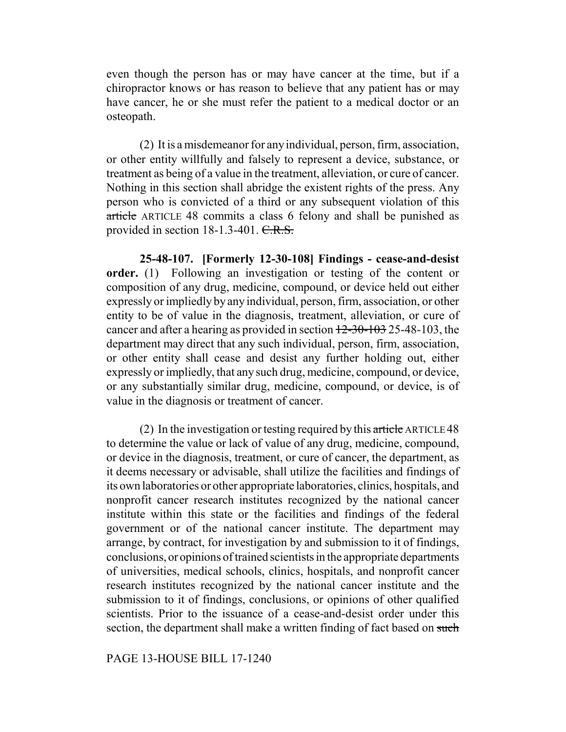even though the person has or may have cancer at the time, but if a chiropractor knows or has reason to believe that any patient has or may have cancer, he or she must refer the patient to a medical doctor or an osteopath.

(2) It is a misdemeanor for any individual, person, firm, association, or other entity willfully and falsely to represent a device, substance, or treatment as being of a value in the treatment, alleviation, or cure of cancer. Nothing in this section shall abridge the existent rights of the press. Any person who is convicted of a third or any subsequent violation of this article ARTICLE 48 commits a class 6 felony and shall be punished as provided in section 18-1.3-401. C.R.S.

**25-48-107. [Formerly 12-30-108] Findings - cease-and-desist order.** (1) Following an investigation or testing of the content or composition of any drug, medicine, compound, or device held out either expressly or impliedly by any individual, person, firm, association, or other entity to be of value in the diagnosis, treatment, alleviation, or cure of cancer and after a hearing as provided in section  $12-30-103$  25-48-103, the department may direct that any such individual, person, firm, association, or other entity shall cease and desist any further holding out, either expressly or impliedly, that any such drug, medicine, compound, or device, or any substantially similar drug, medicine, compound, or device, is of value in the diagnosis or treatment of cancer.

(2) In the investigation or testing required by this article ARTICLE 48 to determine the value or lack of value of any drug, medicine, compound, or device in the diagnosis, treatment, or cure of cancer, the department, as it deems necessary or advisable, shall utilize the facilities and findings of its own laboratories or other appropriate laboratories, clinics, hospitals, and nonprofit cancer research institutes recognized by the national cancer institute within this state or the facilities and findings of the federal government or of the national cancer institute. The department may arrange, by contract, for investigation by and submission to it of findings, conclusions, or opinions of trained scientists in the appropriate departments of universities, medical schools, clinics, hospitals, and nonprofit cancer research institutes recognized by the national cancer institute and the submission to it of findings, conclusions, or opinions of other qualified scientists. Prior to the issuance of a cease-and-desist order under this section, the department shall make a written finding of fact based on such

#### PAGE 13-HOUSE BILL 17-1240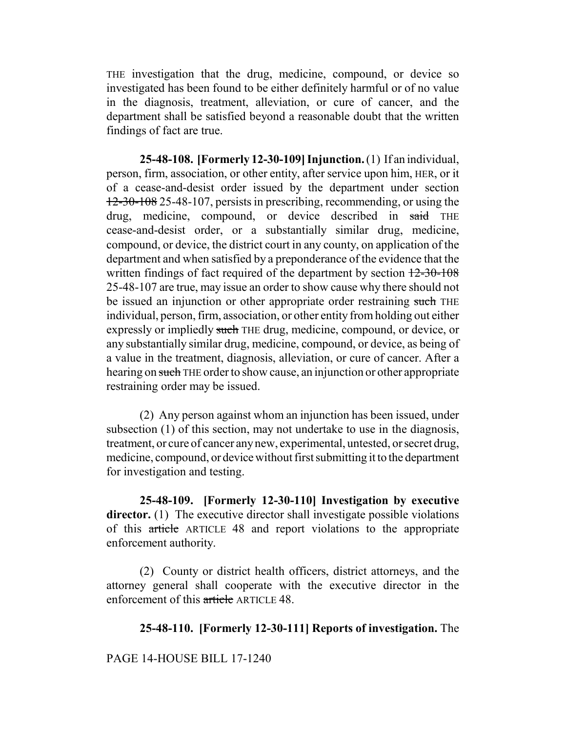THE investigation that the drug, medicine, compound, or device so investigated has been found to be either definitely harmful or of no value in the diagnosis, treatment, alleviation, or cure of cancer, and the department shall be satisfied beyond a reasonable doubt that the written findings of fact are true.

**25-48-108. [Formerly 12-30-109] Injunction.** (1) If an individual, person, firm, association, or other entity, after service upon him, HER, or it of a cease-and-desist order issued by the department under section 12-30-108 25-48-107, persists in prescribing, recommending, or using the drug, medicine, compound, or device described in said THE cease-and-desist order, or a substantially similar drug, medicine, compound, or device, the district court in any county, on application of the department and when satisfied by a preponderance of the evidence that the written findings of fact required of the department by section  $12-30-108$ 25-48-107 are true, may issue an order to show cause why there should not be issued an injunction or other appropriate order restraining such THE individual, person, firm, association, or other entity from holding out either expressly or impliedly such THE drug, medicine, compound, or device, or any substantially similar drug, medicine, compound, or device, as being of a value in the treatment, diagnosis, alleviation, or cure of cancer. After a hearing on such THE order to show cause, an injunction or other appropriate restraining order may be issued.

(2) Any person against whom an injunction has been issued, under subsection (1) of this section, may not undertake to use in the diagnosis, treatment, or cure of cancer any new, experimental, untested, or secret drug, medicine, compound, or device without first submitting it to the department for investigation and testing.

**25-48-109. [Formerly 12-30-110] Investigation by executive** director. (1) The executive director shall investigate possible violations of this article ARTICLE 48 and report violations to the appropriate enforcement authority.

(2) County or district health officers, district attorneys, and the attorney general shall cooperate with the executive director in the enforcement of this article ARTICLE 48.

### **25-48-110. [Formerly 12-30-111] Reports of investigation.** The

### PAGE 14-HOUSE BILL 17-1240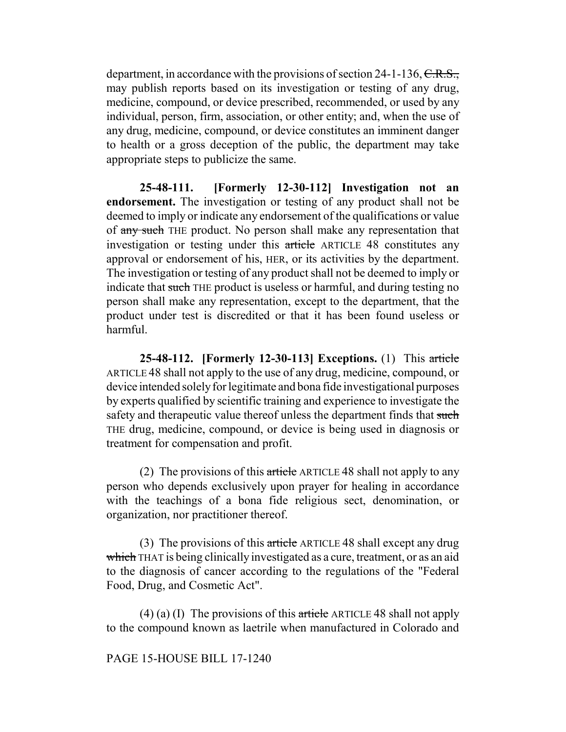department, in accordance with the provisions of section 24-1-136,  $C.R.S.,$ may publish reports based on its investigation or testing of any drug, medicine, compound, or device prescribed, recommended, or used by any individual, person, firm, association, or other entity; and, when the use of any drug, medicine, compound, or device constitutes an imminent danger to health or a gross deception of the public, the department may take appropriate steps to publicize the same.

**25-48-111. [Formerly 12-30-112] Investigation not an endorsement.** The investigation or testing of any product shall not be deemed to imply or indicate any endorsement of the qualifications or value of any such THE product. No person shall make any representation that investigation or testing under this article ARTICLE 48 constitutes any approval or endorsement of his, HER, or its activities by the department. The investigation or testing of any product shall not be deemed to imply or indicate that such THE product is useless or harmful, and during testing no person shall make any representation, except to the department, that the product under test is discredited or that it has been found useless or harmful.

**25-48-112. [Formerly 12-30-113] Exceptions.** (1) This article ARTICLE 48 shall not apply to the use of any drug, medicine, compound, or device intended solely for legitimate and bona fide investigational purposes by experts qualified by scientific training and experience to investigate the safety and therapeutic value thereof unless the department finds that such THE drug, medicine, compound, or device is being used in diagnosis or treatment for compensation and profit.

(2) The provisions of this article ARTICLE 48 shall not apply to any person who depends exclusively upon prayer for healing in accordance with the teachings of a bona fide religious sect, denomination, or organization, nor practitioner thereof.

(3) The provisions of this article ARTICLE 48 shall except any drug which THAT is being clinically investigated as a cure, treatment, or as an aid to the diagnosis of cancer according to the regulations of the "Federal Food, Drug, and Cosmetic Act".

(4) (a) (I) The provisions of this article ARTICLE 48 shall not apply to the compound known as laetrile when manufactured in Colorado and

### PAGE 15-HOUSE BILL 17-1240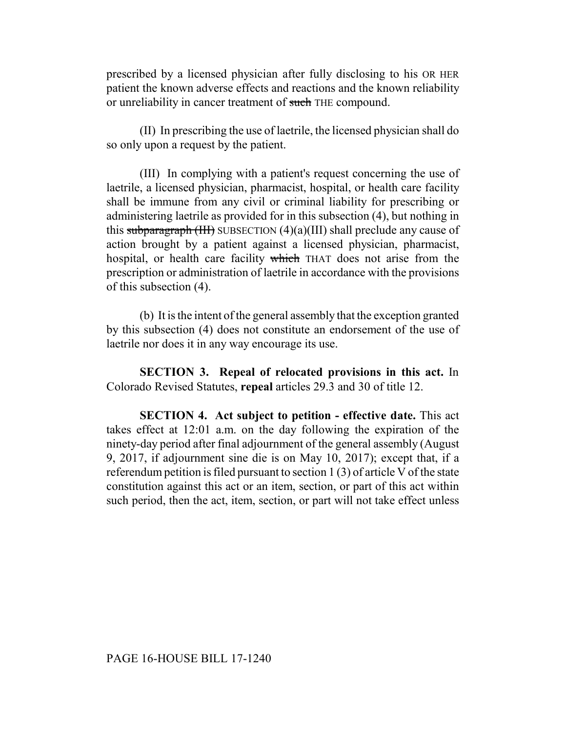prescribed by a licensed physician after fully disclosing to his OR HER patient the known adverse effects and reactions and the known reliability or unreliability in cancer treatment of such THE compound.

(II) In prescribing the use of laetrile, the licensed physician shall do so only upon a request by the patient.

(III) In complying with a patient's request concerning the use of laetrile, a licensed physician, pharmacist, hospital, or health care facility shall be immune from any civil or criminal liability for prescribing or administering laetrile as provided for in this subsection (4), but nothing in this subparagraph  $(HH)$  SUBSECTION  $(4)(a)(III)$  shall preclude any cause of action brought by a patient against a licensed physician, pharmacist, hospital, or health care facility which THAT does not arise from the prescription or administration of laetrile in accordance with the provisions of this subsection (4).

(b) It is the intent of the general assembly that the exception granted by this subsection (4) does not constitute an endorsement of the use of laetrile nor does it in any way encourage its use.

**SECTION 3. Repeal of relocated provisions in this act.** In Colorado Revised Statutes, **repeal** articles 29.3 and 30 of title 12.

**SECTION 4. Act subject to petition - effective date.** This act takes effect at 12:01 a.m. on the day following the expiration of the ninety-day period after final adjournment of the general assembly (August 9, 2017, if adjournment sine die is on May 10, 2017); except that, if a referendum petition is filed pursuant to section 1 (3) of article V of the state constitution against this act or an item, section, or part of this act within such period, then the act, item, section, or part will not take effect unless